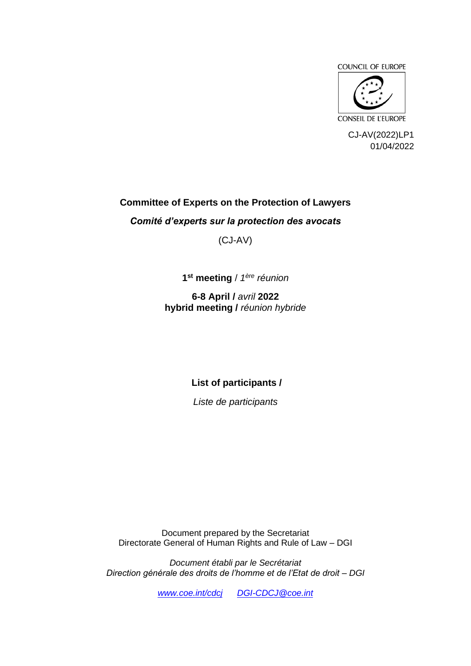



CJ-AV(2022)LP1 01/04/2022

#### **Committee of Experts on the Protection of Lawyers**

*Comité d'experts sur la protection des avocats*

(CJ-AV)

**1 st meeting** / *1 ère réunion*

**6-8 April /** *avril* **2022 hybrid meeting /** *réunion hybride*

**List of participants /** 

*Liste de participants*

Document prepared by the Secretariat Directorate General of Human Rights and Rule of Law – DGI

*Document établi par le Secrétariat Direction générale des droits de l'homme et de l'Etat de droit – DGI*

*[www.coe.int/cdcj](http://www.coe.int/cdcj) [DGI-CDCJ@coe.int](mailto:DGI-CDCJ@coe.int)*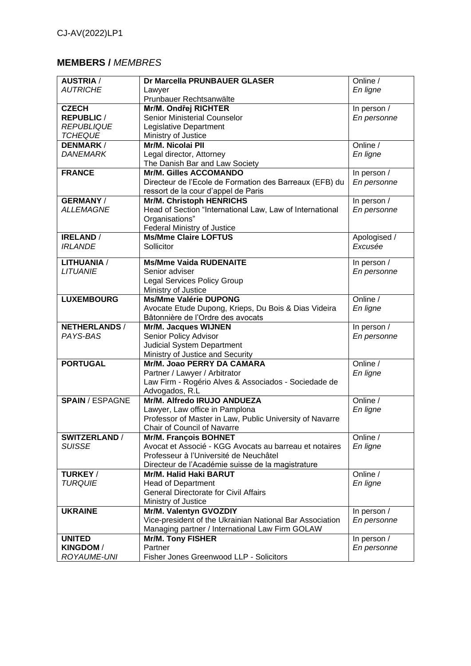## **MEMBERS /** *MEMBRES*

| <b>AUSTRIA</b> /       | Dr Marcella PRUNBAUER GLASER                                      | Online /     |
|------------------------|-------------------------------------------------------------------|--------------|
| <b>AUTRICHE</b>        | Lawyer                                                            | En ligne     |
|                        | Prunbauer Rechtsanwälte                                           |              |
| <b>CZECH</b>           | Mr/M. Ondřej RICHTER                                              | In person /  |
| <b>REPUBLIC /</b>      | Senior Ministerial Counselor                                      | En personne  |
| <b>REPUBLIQUE</b>      | <b>Legislative Department</b>                                     |              |
| <b>TCHEQUE</b>         | Ministry of Justice                                               |              |
| <b>DENMARK/</b>        | Mr/M. Nicolai PII                                                 | Online /     |
| <b>DANEMARK</b>        | Legal director, Attorney                                          | En ligne     |
|                        | The Danish Bar and Law Society                                    |              |
| <b>FRANCE</b>          | <b>Mr/M. Gilles ACCOMANDO</b>                                     | In person /  |
|                        | Directeur de l'Ecole de Formation des Barreaux (EFB) du           | En personne  |
|                        | ressort de la cour d'appel de Paris                               |              |
| <b>GERMANY/</b>        | <b>Mr/M. Christoph HENRICHS</b>                                   | In person /  |
| <b>ALLEMAGNE</b>       | Head of Section "International Law, Law of International          | En personne  |
|                        | Organisations"                                                    |              |
|                        |                                                                   |              |
| <b>IRELAND /</b>       | <b>Federal Ministry of Justice</b><br><b>Ms/Mme Claire LOFTUS</b> | Apologised / |
| <b>IRLANDE</b>         | Sollicitor                                                        | Excusée      |
|                        |                                                                   |              |
| <b>LITHUANIA /</b>     | <b>Ms/Mme Vaida RUDENAITE</b>                                     | In person /  |
| <b>LITUANIE</b>        | Senior adviser                                                    | En personne  |
|                        | <b>Legal Services Policy Group</b>                                |              |
|                        | Ministry of Justice                                               |              |
| <b>LUXEMBOURG</b>      | <b>Ms/Mme Valérie DUPONG</b>                                      | Online /     |
|                        | Avocate Etude Dupong, Krieps, Du Bois & Dias Videira              | En ligne     |
|                        | Bâtonnière de l'Ordre des avocats                                 |              |
| <b>NETHERLANDS /</b>   | Mr/M. Jacques WIJNEN                                              | In person /  |
| PAYS-BAS               | Senior Policy Advisor                                             | En personne  |
|                        | <b>Judicial System Department</b>                                 |              |
|                        | Ministry of Justice and Security                                  |              |
| <b>PORTUGAL</b>        | Mr/M. Joao PERRY DA CAMARA                                        | Online /     |
|                        | Partner / Lawyer / Arbitrator                                     | En ligne     |
|                        | Law Firm - Rogério Alves & Associados - Sociedade de              |              |
|                        | Advogados, R.L                                                    |              |
| <b>SPAIN / ESPAGNE</b> | Mr/M. Alfredo IRUJO ANDUEZA                                       | Online /     |
|                        | Lawyer, Law office in Pamplona                                    | En ligne     |
|                        | Professor of Master in Law, Public University of Navarre          |              |
|                        | Chair of Council of Navarre                                       |              |
| <b>SWITZERLAND /</b>   | <b>Mr/M. François BOHNET</b>                                      | Online /     |
| <b>SUISSE</b>          | Avocat et Associé - KGG Avocats au barreau et notaires            | En ligne     |
|                        | Professeur à l'Université de Neuchâtel                            |              |
|                        | Directeur de l'Académie suisse de la magistrature                 |              |
| <b>TURKEY/</b>         | <b>Mr/M. Halid Haki BARUT</b>                                     | Online /     |
| <b>TURQUIE</b>         | <b>Head of Department</b>                                         | En ligne     |
|                        | <b>General Directorate for Civil Affairs</b>                      |              |
|                        | Ministry of Justice                                               |              |
| <b>UKRAINE</b>         | Mr/M. Valentyn GVOZDIY                                            | In person /  |
|                        | Vice-president of the Ukrainian National Bar Association          | En personne  |
|                        | Managing partner / International Law Firm GOLAW                   |              |
| <b>UNITED</b>          | <b>Mr/M. Tony FISHER</b>                                          | In person /  |
| <b>KINGDOM/</b>        | Partner                                                           | En personne  |
| ROYAUME-UNI            | Fisher Jones Greenwood LLP - Solicitors                           |              |
|                        |                                                                   |              |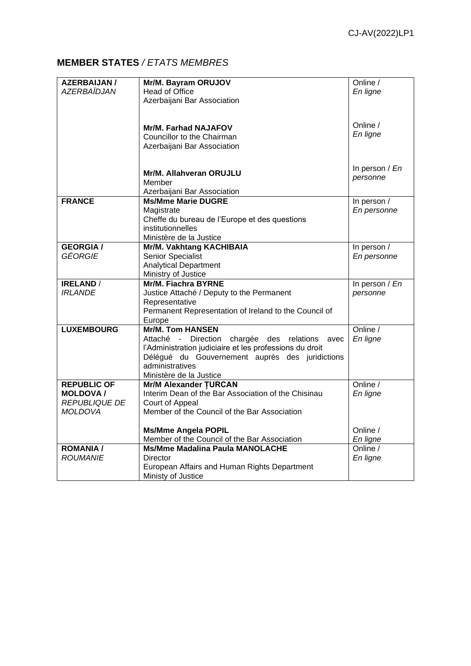## **MEMBER STATES** */ ETATS MEMBRES*

| <b>AZERBAIJAN /</b> | Mr/M. Bayram ORUJOV                                     | Online /        |
|---------------------|---------------------------------------------------------|-----------------|
| AZERBAÏDJAN         | <b>Head of Office</b>                                   | En ligne        |
|                     | Azerbaijani Bar Association                             |                 |
|                     |                                                         |                 |
|                     |                                                         |                 |
|                     | <b>Mr/M. Farhad NAJAFOV</b>                             | Online /        |
|                     | Councillor to the Chairman                              | En ligne        |
|                     | Azerbaijani Bar Association                             |                 |
|                     |                                                         |                 |
|                     |                                                         | In person $/En$ |
|                     | Mr/M. Allahveran ORUJLU                                 | personne        |
|                     | Member                                                  |                 |
|                     | Azerbaijani Bar Association                             |                 |
| <b>FRANCE</b>       | <b>Ms/Mme Marie DUGRE</b>                               | In person /     |
|                     | Magistrate                                              | En personne     |
|                     | Cheffe du bureau de l'Europe et des questions           |                 |
|                     | institutionnelles                                       |                 |
|                     | Ministère de la Justice                                 |                 |
| <b>GEORGIA/</b>     | Mr/M. Vakhtang KACHIBAIA                                | In person /     |
| GÉORGIE             | Senior Specialist                                       | En personne     |
|                     | <b>Analytical Department</b>                            |                 |
|                     | Ministry of Justice                                     |                 |
| <b>IRELAND</b> /    | <b>Mr/M. Fiachra BYRNE</b>                              | In person / En  |
| <b>IRLANDE</b>      | Justice Attaché / Deputy to the Permanent               | personne        |
|                     | Representative                                          |                 |
|                     | Permanent Representation of Ireland to the Council of   |                 |
|                     | Europe                                                  |                 |
| <b>LUXEMBOURG</b>   | <b>Mr/M. Tom HANSEN</b>                                 | Online /        |
|                     | Attaché - Direction chargée des<br>relations<br>avec    | En ligne        |
|                     | l'Administration judiciaire et les professions du droit |                 |
|                     | Délégué du Gouvernement auprès des juridictions         |                 |
|                     | administratives                                         |                 |
|                     | Ministère de la Justice                                 |                 |
| <b>REPUBLIC OF</b>  | <b>Mr/M Alexander TURCAN</b>                            | Online /        |
| <b>MOLDOVA /</b>    | Interim Dean of the Bar Association of the Chisinau     | En ligne        |
| REPUBLIQUE DE       | Court of Appeal                                         |                 |
| <b>MOLDOVA</b>      | Member of the Council of the Bar Association            |                 |
|                     |                                                         |                 |
|                     | <b>Ms/Mme Angela POPIL</b>                              | Online /        |
|                     | Member of the Council of the Bar Association            | En ligne        |
| <b>ROMANIA/</b>     | <b>Ms/Mme Madalina Paula MANOLACHE</b>                  | Online /        |
| <b>ROUMANIE</b>     | Director                                                | En ligne        |
|                     | European Affairs and Human Rights Department            |                 |
|                     | Ministy of Justice                                      |                 |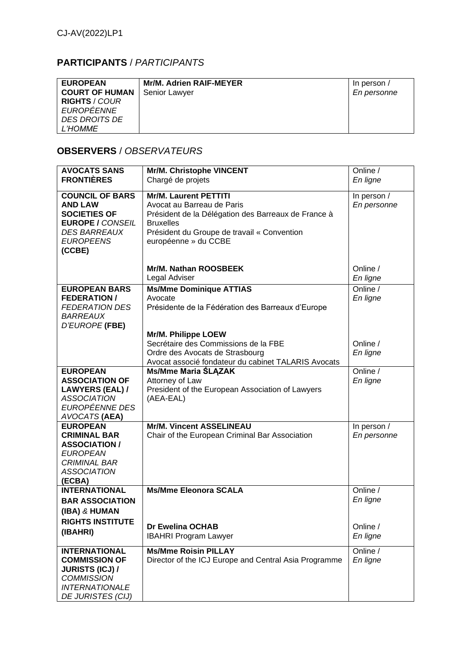# **PARTICIPANTS** / *PARTICIPANTS*

| <b>EUROPEAN</b>       | Mr/M. Adrien RAIF-MEYER | In person / |
|-----------------------|-------------------------|-------------|
| <b>COURT OF HUMAN</b> | Senior Lawyer           | En personne |
| <b>RIGHTS / COUR</b>  |                         |             |
| EUROPÉENNE            |                         |             |
| DES DROITS DE         |                         |             |
| <i>L'HOMME</i>        |                         |             |

## **OBSERVERS** / *OBSERVATEURS*

| <b>AVOCATS SANS</b>      | Mr/M. Christophe VINCENT                              | Online /    |
|--------------------------|-------------------------------------------------------|-------------|
| <b>FRONTIÈRES</b>        | Chargé de projets                                     | En ligne    |
|                          |                                                       |             |
| <b>COUNCIL OF BARS</b>   | <b>Mr/M. Laurent PETTITI</b>                          | In person / |
| <b>AND LAW</b>           | Avocat au Barreau de Paris                            | En personne |
| <b>SOCIETIES OF</b>      | Président de la Délégation des Barreaux de France à   |             |
| <b>EUROPE / CONSEIL</b>  | <b>Bruxelles</b>                                      |             |
| <b>DES BARREAUX</b>      | Président du Groupe de travail « Convention           |             |
| <b>EUROPEENS</b>         | européenne » du CCBE                                  |             |
| (CCBE)                   |                                                       |             |
|                          |                                                       |             |
|                          | <b>Mr/M. Nathan ROOSBEEK</b>                          | Online /    |
|                          | Legal Adviser                                         | En ligne    |
| <b>EUROPEAN BARS</b>     | <b>Ms/Mme Dominique ATTIAS</b>                        | Online /    |
| <b>FEDERATION/</b>       | Avocate                                               | En ligne    |
| <b>FEDERATION DES</b>    | Présidente de la Fédération des Barreaux d'Europe     |             |
| <b>BARREAUX</b>          |                                                       |             |
| D'EUROPE (FBE)           |                                                       |             |
|                          | Mr/M. Philippe LOEW                                   |             |
|                          | Secrétaire des Commissions de la FBE                  | Online /    |
|                          | Ordre des Avocats de Strasbourg                       | En ligne    |
|                          | Avocat associé fondateur du cabinet TALARIS Avocats   |             |
| <b>EUROPEAN</b>          | <b>Ms/Mme Maria ŚLĄZAK</b>                            | Online /    |
| <b>ASSOCIATION OF</b>    | Attorney of Law                                       | En ligne    |
| <b>LAWYERS (EAL) /</b>   | President of the European Association of Lawyers      |             |
| <b>ASSOCIATION</b>       | (AEA-EAL)                                             |             |
| EUROPÉENNE DES           |                                                       |             |
| AVOCATS (AEA)            |                                                       |             |
| <b>EUROPEAN</b>          | <b>Mr/M. Vincent ASSELINEAU</b>                       | In person / |
| <b>CRIMINAL BAR</b>      | Chair of the European Criminal Bar Association        | En personne |
| <b>ASSOCIATION /</b>     |                                                       |             |
| <b>EUROPEAN</b>          |                                                       |             |
| <b>CRIMINAL BAR</b>      |                                                       |             |
| <b>ASSOCIATION</b>       |                                                       |             |
| (ECBA)                   |                                                       |             |
| <b>INTERNATIONAL</b>     | <b>Ms/Mme Eleonora SCALA</b>                          | Online /    |
| <b>BAR ASSOCIATION</b>   |                                                       | En ligne    |
| (IBA) & HUMAN            |                                                       |             |
| <b>RIGHTS INSTITUTE</b>  |                                                       |             |
| (IBAHRI)                 | Dr Ewelina OCHAB                                      | Online /    |
|                          | <b>IBAHRI Program Lawyer</b>                          | En ligne    |
| <b>INTERNATIONAL</b>     | <b>Ms/Mme Roisin PILLAY</b>                           | Online /    |
| <b>COMMISSION OF</b>     | Director of the ICJ Europe and Central Asia Programme | En ligne    |
| <b>JURISTS (ICJ) /</b>   |                                                       |             |
| <b>COMMISSION</b>        |                                                       |             |
| <b>INTERNATIONALE</b>    |                                                       |             |
| <b>DE JURISTES (CIJ)</b> |                                                       |             |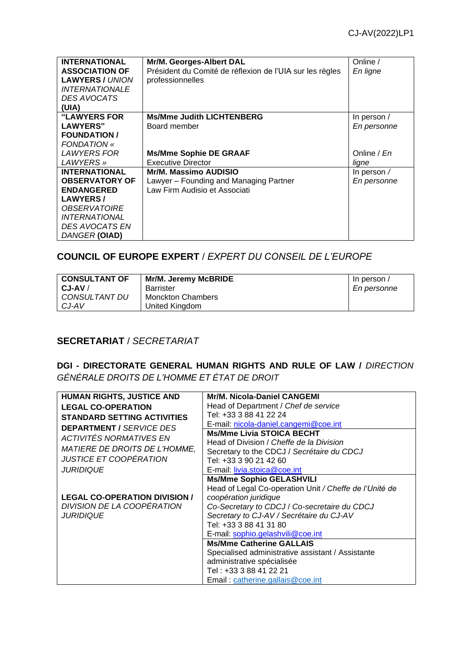| <b>INTERNATIONAL</b>       | Mr/M. Georges-Albert DAL                                 | Online /           |
|----------------------------|----------------------------------------------------------|--------------------|
| <b>ASSOCIATION OF</b>      | Président du Comité de réflexion de l'UIA sur les règles | En ligne           |
| <b>LAWYERS / UNION</b>     | professionnelles                                         |                    |
| <b>INTERNATIONALE</b>      |                                                          |                    |
| DES AVOCATS                |                                                          |                    |
| (UIA)                      |                                                          |                    |
| <b>"LAWYERS FOR</b>        | <b>Ms/Mme Judith LICHTENBERG</b>                         | In person /        |
| <b>LAWYERS"</b>            | Board member                                             | En personne        |
| <b>FOUNDATION /</b>        |                                                          |                    |
| <b>FONDATION</b> «         |                                                          |                    |
| LAWYERS FOR                | <b>Ms/Mme Sophie DE GRAAF</b>                            | Online / En        |
| LAWYERS »                  | Executive Director                                       | ligne              |
| <b>INTERNATIONAL</b>       | Mr/M. Massimo AUDISIO                                    | In person $\prime$ |
| <b>OBSERVATORY OF</b>      | Lawyer – Founding and Managing Partner                   | En personne        |
| <b>ENDANGERED</b>          | Law Firm Audisio et Associati                            |                    |
| <b>LAWYERS/</b>            |                                                          |                    |
| <i><b>OBSERVATOIRE</b></i> |                                                          |                    |
| <b>INTERNATIONAL</b>       |                                                          |                    |
| <b>DES AVOCATS EN</b>      |                                                          |                    |
| DANGER (OIAD)              |                                                          |                    |

### **COUNCIL OF EUROPE EXPERT** / *EXPERT DU CONSEIL DE L'EUROPE*

| <b>CONSULTANT OF</b> | Mr/M. Jeremy McBRIDE     | In person / |
|----------------------|--------------------------|-------------|
| $CJ-AV$              | Barrister                | En personne |
| CONSULTANT DU        | <b>Monckton Chambers</b> |             |
| CJ-AV                | United Kingdom           |             |

#### **SECRETARIAT** / *SECRETARIAT*

#### **DGI - DIRECTORATE GENERAL HUMAN RIGHTS AND RULE OF LAW /** *[DIRECTION](https://www.coe.int/fr/web/human-rights-rule-of-law)  [GÉNÉRALE DROITS DE L'HOMME ET ÉTAT DE DROIT](https://www.coe.int/fr/web/human-rights-rule-of-law)*

| <b>HUMAN RIGHTS, JUSTICE AND</b>     | Mr/M. Nicola-Daniel CANGEMI                            |
|--------------------------------------|--------------------------------------------------------|
| <b>LEGAL CO-OPERATION</b>            | Head of Department / Chef de service                   |
| <b>STANDARD SETTING ACTIVITIES</b>   | Tel: +33 3 88 41 22 24                                 |
| <b>DEPARTMENT / SERVICE DES</b>      | E-mail: nicola-daniel.cangemi@coe.int                  |
| <b>ACTIVITÉS NORMATIVES EN</b>       | <b>Ms/Mme Livia STOICA BECHT</b>                       |
|                                      | Head of Division / Cheffe de la Division               |
| <b>MATIERE DE DROITS DE L'HOMME,</b> | Secretary to the CDCJ / Secrétaire du CDCJ             |
| JUSTICE ET COOPÉRATION               | Tel: +33 3 90 21 42 60                                 |
| <b>JURIDIQUE</b>                     | E-mail: livia.stoica@coe.int                           |
|                                      | <b>Ms/Mme Sophio GELASHVILI</b>                        |
|                                      | Head of Legal Co-operation Unit / Cheffe de l'Unité de |
| <b>LEGAL CO-OPERATION DIVISION /</b> | coopération juridique                                  |
| DIVISION DE LA COOPÉRATION           | Co-Secretary to CDCJ / Co-secretaire du CDCJ           |
| <b>JURIDIQUE</b>                     | Secretary to CJ-AV / Secrétaire du CJ-AV               |
|                                      | Tel: +33 3 88 41 31 80                                 |
|                                      | E-mail: sophio.gelashvili@coe.int                      |
|                                      | <b>Ms/Mme Catherine GALLAIS</b>                        |
|                                      | Specialised administrative assistant / Assistante      |
|                                      | administrative spécialisée                             |
|                                      | Tel : +33 3 88 41 22 21                                |
|                                      | Email: catherine.gallais@coe.int                       |